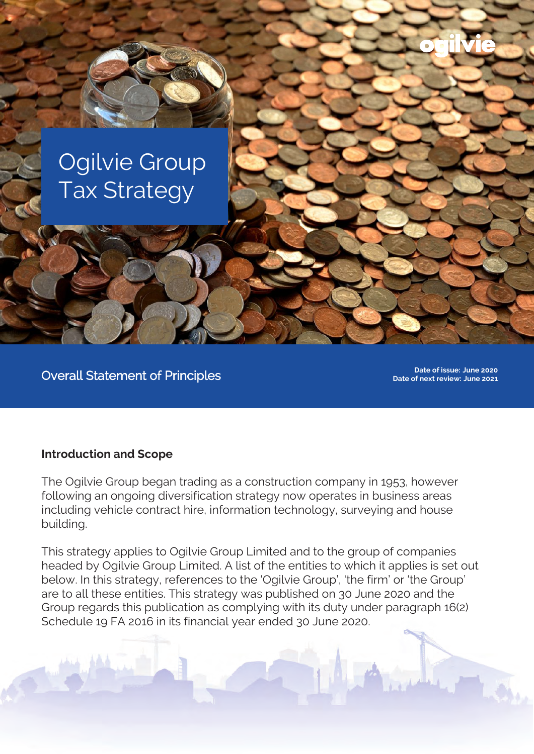

THE REAL PROPERTY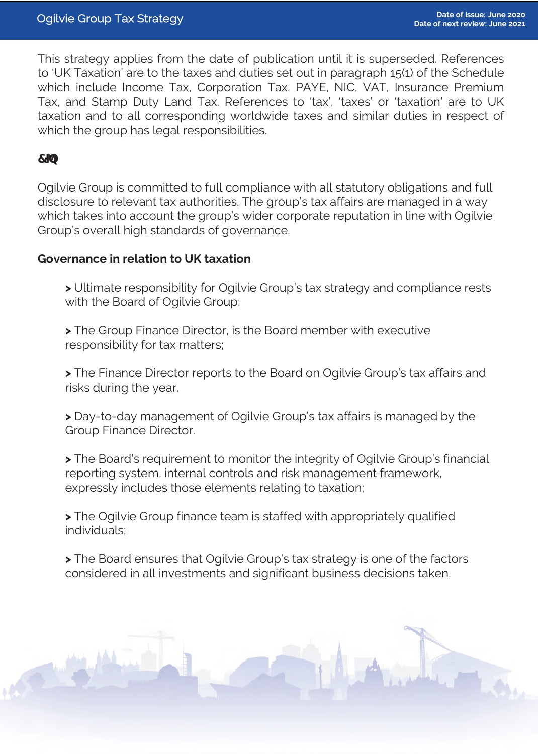This strategy applies from the date of publication until it is superseded. References to 'UK Taxation' are to the taxes and duties set out in paragraph 15(1) of the Schedule which include Income Tax, Corporation Tax, PAYE, NIC, VAT, Insurance Premium Tax, and Stamp Duty Land Tax. References to 'tax', 'taxes' or 'taxation' are to UK taxation and to all corresponding worldwide taxes and similar duties in respect of which the group has legal responsibilities.

Ogilvie Group is committed to full compliance with all statutory obligations and full disclosure to relevant tax authorities. The group's tax affairs are managed in a way which takes into account the group's wider corporate reputation in line with Ogilvie Group's overall high standards of governance.

### **Governance in relation to UK taxation**

**>** Ultimate responsibility for Ogilvie Group's tax strategy and compliance rests with the Board of Ogilvie Group;

**>** The Group Finance Director, is the Board member with executive responsibility for tax matters;

**>** The Finance Director reports to the Board on Ogilvie Group's tax affairs and risks during the year.

**>** Day-to-day management of Ogilvie Group's tax affairs is managed by the Group Finance Director.

**>** The Board's requirement to monitor the integrity of Ogilvie Group's financial reporting system, internal controls and risk management framework, expressly includes those elements relating to taxation;

**>** The Ogilvie Group finance team is staffed with appropriately qualified individuals;

**>** The Board ensures that Ogilvie Group's tax strategy is one of the factors considered in all investments and significant business decisions taken.

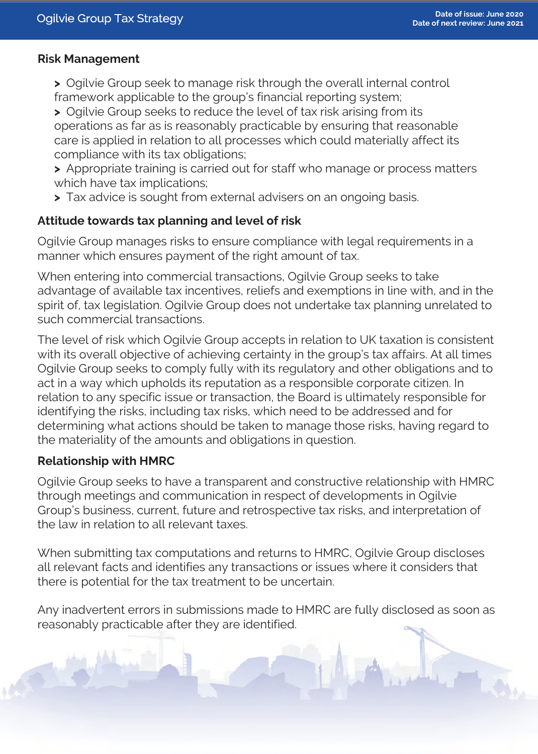## **Risk Management**

- **>** Ogilvie Group seek to manage risk through the overall internal control framework applicable to the group's financial reporting system;
- **>** Ogilvie Group seeks to reduce the level of tax risk arising from its operations as far as is reasonably practicable by ensuring that reasonable care is applied in relation to all processes which could materially affect its compliance with its tax obligations;
- **>** Appropriate training is carried out for staff who manage or process matters which have tax implications;
- **>** Tax advice is sought from external advisers on an ongoing basis.

## **Attitude towards tax planning and level of risk**

Ogilvie Group manages risks to ensure compliance with legal requirements in a manner which ensures payment of the right amount of tax.

When entering into commercial transactions, Ogilvie Group seeks to take advantage of available tax incentives, reliefs and exemptions in line with, and in the spirit of, tax legislation. Ogilvie Group does not undertake tax planning unrelated to such commercial transactions.

The level of risk which Ogilvie Group accepts in relation to UK taxation is consistent with its overall objective of achieving certainty in the group's tax affairs. At all times Ogilvie Group seeks to comply fully with its regulatory and other obligations and to act in a way which upholds its reputation as a responsible corporate citizen. In relation to any specific issue or transaction, the Board is ultimately responsible for identifying the risks, including tax risks, which need to be addressed and for determining what actions should be taken to manage those risks, having regard to the materiality of the amounts and obligations in question.

# **Relationship with HMRC**

Ogilvie Group seeks to have a transparent and constructive relationship with HMRC through meetings and communication in respect of developments in Ogilvie Group's business, current, future and retrospective tax risks, and interpretation of the law in relation to all relevant taxes.

When submitting tax computations and returns to HMRC, Ogilvie Group discloses all relevant facts and identifies any transactions or issues where it considers that

#### there is potential for the tax treatment to be uncertain.

Any inadvertent errors in submissions made to HMRC are fully disclosed as soon as reasonably practicable after they are identified.